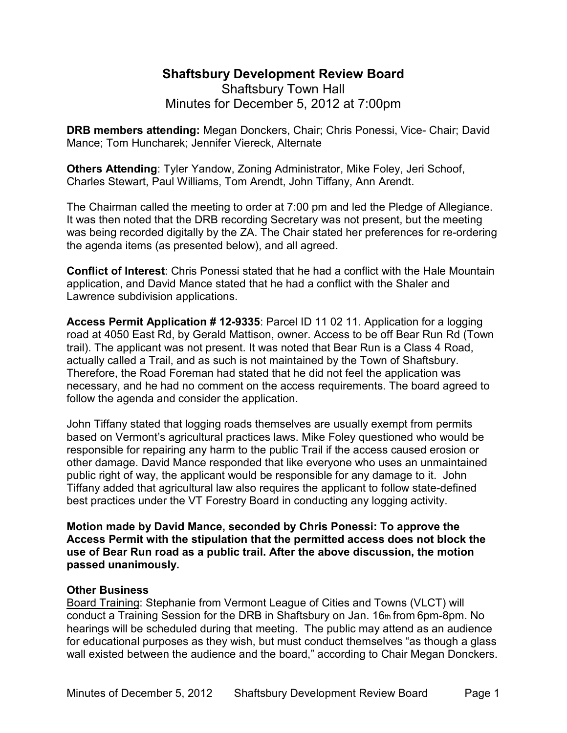# **Shaftsbury Development Review Board**  Shaftsbury Town Hall Minutes for December 5, 2012 at 7:00pm

**DRB members attending:** Megan Donckers, Chair; Chris Ponessi, Vice- Chair; David Mance; Tom Huncharek; Jennifer Viereck, Alternate

**Others Attending**: Tyler Yandow, Zoning Administrator, Mike Foley, Jeri Schoof, Charles Stewart, Paul Williams, Tom Arendt, John Tiffany, Ann Arendt.

The Chairman called the meeting to order at 7:00 pm and led the Pledge of Allegiance. It was then noted that the DRB recording Secretary was not present, but the meeting was being recorded digitally by the ZA. The Chair stated her preferences for re-ordering the agenda items (as presented below), and all agreed.

**Conflict of Interest**: Chris Ponessi stated that he had a conflict with the Hale Mountain application, and David Mance stated that he had a conflict with the Shaler and Lawrence subdivision applications.

**Access Permit Application # 12-9335**: Parcel ID 11 02 11. Application for a logging road at 4050 East Rd, by Gerald Mattison, owner. Access to be off Bear Run Rd (Town trail). The applicant was not present. It was noted that Bear Run is a Class 4 Road, actually called a Trail, and as such is not maintained by the Town of Shaftsbury. Therefore, the Road Foreman had stated that he did not feel the application was necessary, and he had no comment on the access requirements. The board agreed to follow the agenda and consider the application.

John Tiffany stated that logging roads themselves are usually exempt from permits based on Vermont's agricultural practices laws. Mike Foley questioned who would be responsible for repairing any harm to the public Trail if the access caused erosion or other damage. David Mance responded that like everyone who uses an unmaintained public right of way, the applicant would be responsible for any damage to it. John Tiffany added that agricultural law also requires the applicant to follow state-defined best practices under the VT Forestry Board in conducting any logging activity.

**Motion made by David Mance, seconded by Chris Ponessi: To approve the Access Permit with the stipulation that the permitted access does not block the use of Bear Run road as a public trail. After the above discussion, the motion passed unanimously.** 

# **Other Business**

Board Training: Stephanie from Vermont League of Cities and Towns (VLCT) will conduct a Training Session for the DRB in Shaftsbury on Jan. 16th from 6pm-8pm. No hearings will be scheduled during that meeting. The public may attend as an audience for educational purposes as they wish, but must conduct themselves "as though a glass wall existed between the audience and the board," according to Chair Megan Donckers.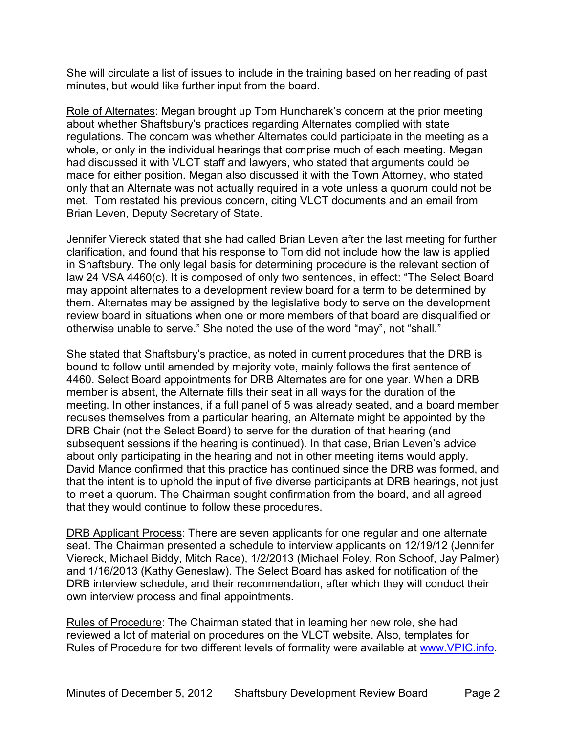She will circulate a list of issues to include in the training based on her reading of past minutes, but would like further input from the board.

Role of Alternates: Megan brought up Tom Huncharek's concern at the prior meeting about whether Shaftsbury's practices regarding Alternates complied with state regulations. The concern was whether Alternates could participate in the meeting as a whole, or only in the individual hearings that comprise much of each meeting. Megan had discussed it with VLCT staff and lawyers, who stated that arguments could be made for either position. Megan also discussed it with the Town Attorney, who stated only that an Alternate was not actually required in a vote unless a quorum could not be met. Tom restated his previous concern, citing VLCT documents and an email from Brian Leven, Deputy Secretary of State.

Jennifer Viereck stated that she had called Brian Leven after the last meeting for further clarification, and found that his response to Tom did not include how the law is applied in Shaftsbury. The only legal basis for determining procedure is the relevant section of law 24 VSA 4460(c). It is composed of only two sentences, in effect: "The Select Board may appoint alternates to a development review board for a term to be determined by them. Alternates may be assigned by the legislative body to serve on the development review board in situations when one or more members of that board are disqualified or otherwise unable to serve." She noted the use of the word "may", not "shall."

She stated that Shaftsbury's practice, as noted in current procedures that the DRB is bound to follow until amended by majority vote, mainly follows the first sentence of 4460. Select Board appointments for DRB Alternates are for one year. When a DRB member is absent, the Alternate fills their seat in all ways for the duration of the meeting. In other instances, if a full panel of 5 was already seated, and a board member recuses themselves from a particular hearing, an Alternate might be appointed by the DRB Chair (not the Select Board) to serve for the duration of that hearing (and subsequent sessions if the hearing is continued). In that case, Brian Leven's advice about only participating in the hearing and not in other meeting items would apply. David Mance confirmed that this practice has continued since the DRB was formed, and that the intent is to uphold the input of five diverse participants at DRB hearings, not just to meet a quorum. The Chairman sought confirmation from the board, and all agreed that they would continue to follow these procedures.

DRB Applicant Process: There are seven applicants for one regular and one alternate seat. The Chairman presented a schedule to interview applicants on 12/19/12 (Jennifer Viereck, Michael Biddy, Mitch Race), 1/2/2013 (Michael Foley, Ron Schoof, Jay Palmer) and 1/16/2013 (Kathy Geneslaw). The Select Board has asked for notification of the DRB interview schedule, and their recommendation, after which they will conduct their own interview process and final appointments.

Rules of Procedure: The Chairman stated that in learning her new role, she had reviewed a lot of material on procedures on the VLCT website. Also, templates for Rules of Procedure for two different levels of formality were available at www.VPIC.info.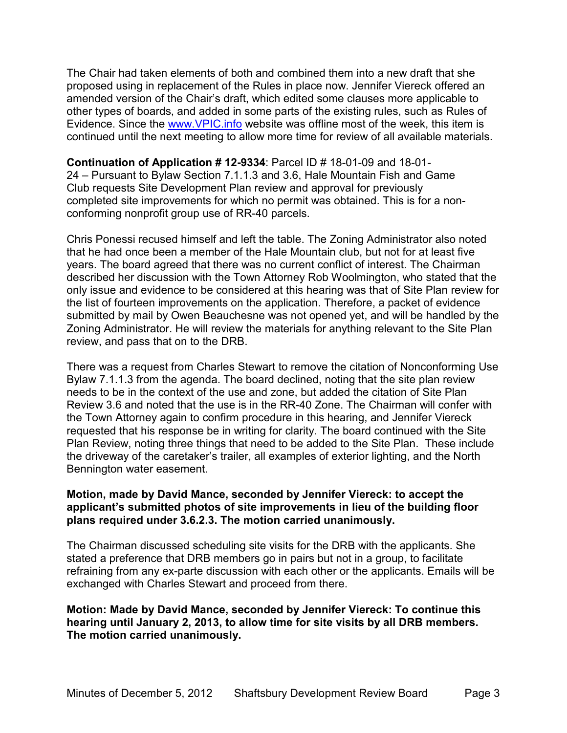The Chair had taken elements of both and combined them into a new draft that she proposed using in replacement of the Rules in place now. Jennifer Viereck offered an amended version of the Chair's draft, which edited some clauses more applicable to other types of boards, and added in some parts of the existing rules, such as Rules of Evidence. Since the www.VPIC.info website was offline most of the week, this item is continued until the next meeting to allow more time for review of all available materials.

**Continuation of Application # 12-9334**: Parcel ID # 18-01-09 and 18-01- 24 – Pursuant to Bylaw Section 7.1.1.3 and 3.6, Hale Mountain Fish and Game Club requests Site Development Plan review and approval for previously completed site improvements for which no permit was obtained. This is for a nonconforming nonprofit group use of RR-40 parcels.

Chris Ponessi recused himself and left the table. The Zoning Administrator also noted that he had once been a member of the Hale Mountain club, but not for at least five years. The board agreed that there was no current conflict of interest. The Chairman described her discussion with the Town Attorney Rob Woolmington, who stated that the only issue and evidence to be considered at this hearing was that of Site Plan review for the list of fourteen improvements on the application. Therefore, a packet of evidence submitted by mail by Owen Beauchesne was not opened yet, and will be handled by the Zoning Administrator. He will review the materials for anything relevant to the Site Plan review, and pass that on to the DRB.

There was a request from Charles Stewart to remove the citation of Nonconforming Use Bylaw 7.1.1.3 from the agenda. The board declined, noting that the site plan review needs to be in the context of the use and zone, but added the citation of Site Plan Review 3.6 and noted that the use is in the RR-40 Zone. The Chairman will confer with the Town Attorney again to confirm procedure in this hearing, and Jennifer Viereck requested that his response be in writing for clarity. The board continued with the Site Plan Review, noting three things that need to be added to the Site Plan. These include the driveway of the caretaker's trailer, all examples of exterior lighting, and the North Bennington water easement.

### **Motion, made by David Mance, seconded by Jennifer Viereck: to accept the applicant's submitted photos of site improvements in lieu of the building floor plans required under 3.6.2.3. The motion carried unanimously.**

The Chairman discussed scheduling site visits for the DRB with the applicants. She stated a preference that DRB members go in pairs but not in a group, to facilitate refraining from any ex-parte discussion with each other or the applicants. Emails will be exchanged with Charles Stewart and proceed from there.

**Motion: Made by David Mance, seconded by Jennifer Viereck: To continue this hearing until January 2, 2013, to allow time for site visits by all DRB members. The motion carried unanimously.**